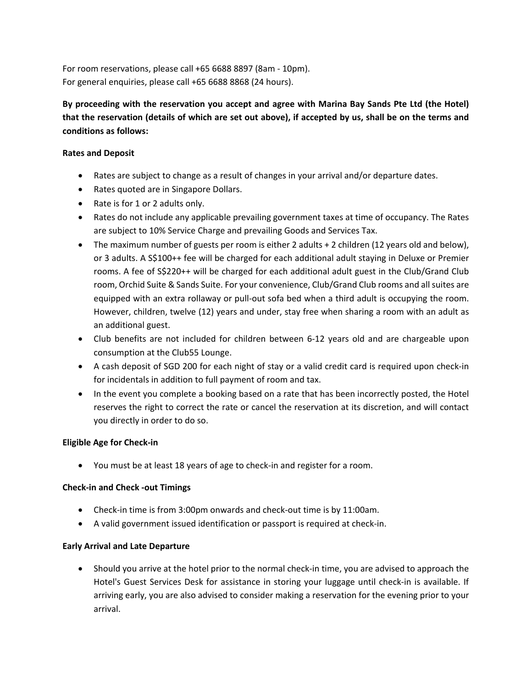For room reservations, please call +65 6688 8897 (8am - 10pm). For general enquiries, please call +65 6688 8868 (24 hours).

**By proceeding with the reservation you accept and agree with Marina Bay Sands Pte Ltd (the Hotel) that the reservation (details of which are set out above), if accepted by us, shall be on the terms and conditions as follows:**

## **Rates and Deposit**

- Rates are subject to change as a result of changes in your arrival and/or departure dates.
- Rates quoted are in Singapore Dollars.
- Rate is for 1 or 2 adults only.
- Rates do not include any applicable prevailing government taxes at time of occupancy. The Rates are subject to 10% Service Charge and prevailing Goods and Services Tax.
- The maximum number of guests per room is either 2 adults + 2 children (12 years old and below), or 3 adults. A S\$100++ fee will be charged for each additional adult staying in Deluxe or Premier rooms. A fee of S\$220++ will be charged for each additional adult guest in the Club/Grand Club room, Orchid Suite & Sands Suite. For your convenience, Club/Grand Club rooms and all suites are equipped with an extra rollaway or pull-out sofa bed when a third adult is occupying the room. However, children, twelve (12) years and under, stay free when sharing a room with an adult as an additional guest.
- Club benefits are not included for children between 6-12 years old and are chargeable upon consumption at the Club55 Lounge.
- A cash deposit of SGD 200 for each night of stay or a valid credit card is required upon check-in for incidentals in addition to full payment of room and tax.
- In the event you complete a booking based on a rate that has been incorrectly posted, the Hotel reserves the right to correct the rate or cancel the reservation at its discretion, and will contact you directly in order to do so.

#### **Eligible Age for Check-in**

• You must be at least 18 years of age to check-in and register for a room.

#### **Check-in and Check -out Timings**

- Check-in time is from 3:00pm onwards and check-out time is by 11:00am.
- A valid government issued identification or passport is required at check-in.

#### **Early Arrival and Late Departure**

• Should you arrive at the hotel prior to the normal check-in time, you are advised to approach the Hotel's Guest Services Desk for assistance in storing your luggage until check-in is available. If arriving early, you are also advised to consider making a reservation for the evening prior to your arrival.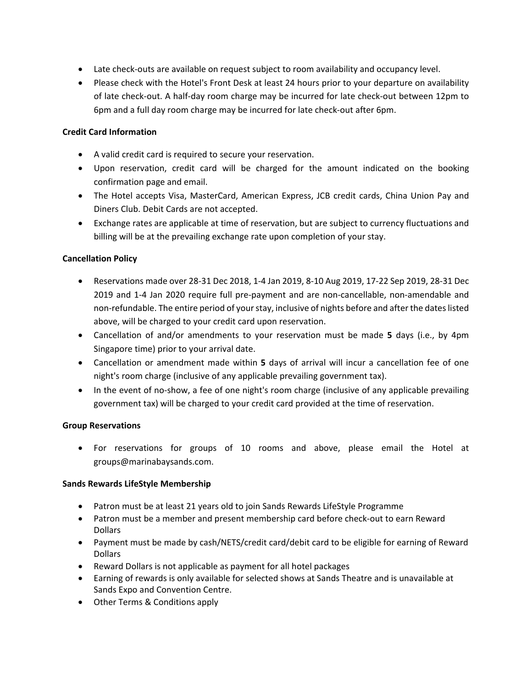- Late check-outs are available on request subject to room availability and occupancy level.
- Please check with the Hotel's Front Desk at least 24 hours prior to your departure on availability of late check-out. A half-day room charge may be incurred for late check-out between 12pm to 6pm and a full day room charge may be incurred for late check-out after 6pm.

### **Credit Card Information**

- A valid credit card is required to secure your reservation.
- Upon reservation, credit card will be charged for the amount indicated on the booking confirmation page and email.
- The Hotel accepts Visa, MasterCard, American Express, JCB credit cards, China Union Pay and Diners Club. Debit Cards are not accepted.
- Exchange rates are applicable at time of reservation, but are subject to currency fluctuations and billing will be at the prevailing exchange rate upon completion of your stay.

## **Cancellation Policy**

- Reservations made over 28-31 Dec 2018, 1-4 Jan 2019, 8-10 Aug 2019, 17-22 Sep 2019, 28-31 Dec 2019 and 1-4 Jan 2020 require full pre-payment and are non-cancellable, non-amendable and non-refundable. The entire period of your stay, inclusive of nights before and after the dates listed above, will be charged to your credit card upon reservation.
- Cancellation of and/or amendments to your reservation must be made **5** days (i.e., by 4pm Singapore time) prior to your arrival date.
- Cancellation or amendment made within **5** days of arrival will incur a cancellation fee of one night's room charge (inclusive of any applicable prevailing government tax).
- In the event of no-show, a fee of one night's room charge (inclusive of any applicable prevailing government tax) will be charged to your credit card provided at the time of reservation.

#### **Group Reservations**

• For reservations for groups of 10 rooms and above, please email the Hotel at groups@marinabaysands.com.

#### **Sands Rewards LifeStyle Membership**

- Patron must be at least 21 years old to join Sands Rewards LifeStyle Programme
- Patron must be a member and present membership card before check-out to earn Reward Dollars
- Payment must be made by cash/NETS/credit card/debit card to be eligible for earning of Reward Dollars
- Reward Dollars is not applicable as payment for all hotel packages
- Earning of rewards is only available for selected shows at Sands Theatre and is unavailable at Sands Expo and Convention Centre.
- Other Terms & Conditions apply